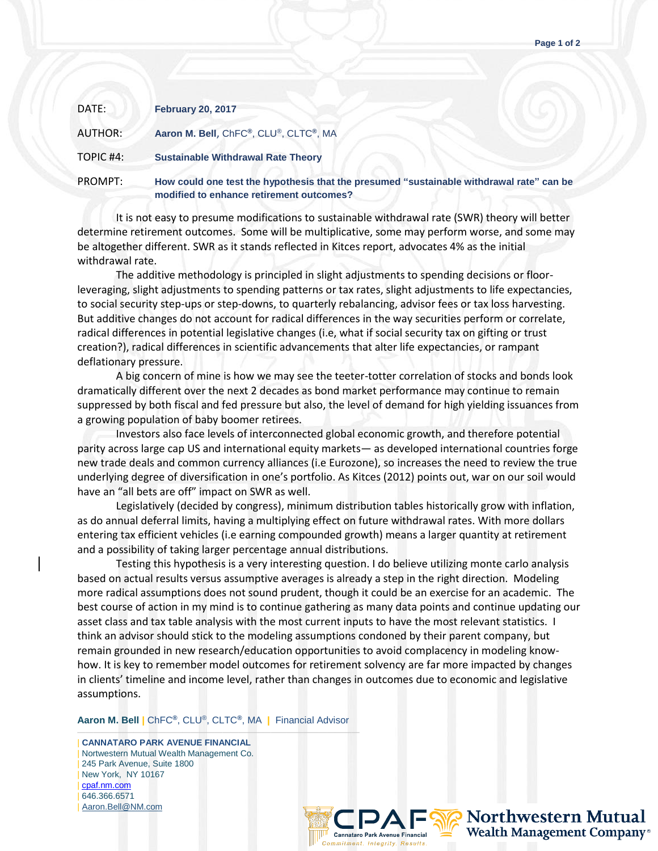| DATE:     | <b>February 20, 2017</b>                                                                                                             |
|-----------|--------------------------------------------------------------------------------------------------------------------------------------|
| AUTHOR:   | Aaron M. Bell, ChFC®, CLU®, CLTC®, MA                                                                                                |
| TOPIC #4: | <b>Sustainable Withdrawal Rate Theory</b>                                                                                            |
| PROMPT:   | How could one test the hypothesis that the presumed "sustainable withdrawal rate" can be<br>modified to enhance retirement outcomes? |

It is not easy to presume modifications to sustainable withdrawal rate (SWR) theory will better determine retirement outcomes. Some will be multiplicative, some may perform worse, and some may be altogether different. SWR as it stands reflected in Kitces report, advocates 4% as the initial withdrawal rate.

The additive methodology is principled in slight adjustments to spending decisions or floorleveraging, slight adjustments to spending patterns or tax rates, slight adjustments to life expectancies, to social security step-ups or step-downs, to quarterly rebalancing, advisor fees or tax loss harvesting. But additive changes do not account for radical differences in the way securities perform or correlate, radical differences in potential legislative changes (i.e, what if social security tax on gifting or trust creation?), radical differences in scientific advancements that alter life expectancies, or rampant deflationary pressure.

A big concern of mine is how we may see the teeter-totter correlation of stocks and bonds look dramatically different over the next 2 decades as bond market performance may continue to remain suppressed by both fiscal and fed pressure but also, the level of demand for high yielding issuances from a growing population of baby boomer retirees.

Investors also face levels of interconnected global economic growth, and therefore potential parity across large cap US and international equity markets— as developed international countries forge new trade deals and common currency alliances (i.e Eurozone), so increases the need to review the true underlying degree of diversification in one's portfolio. As Kitces (2012) points out, war on our soil would have an "all bets are off" impact on SWR as well.

Legislatively (decided by congress), minimum distribution tables historically grow with inflation, as do annual deferral limits, having a multiplying effect on future withdrawal rates. With more dollars entering tax efficient vehicles (i.e earning compounded growth) means a larger quantity at retirement and a possibility of taking larger percentage annual distributions.

Testing this hypothesis is a very interesting question. I do believe utilizing monte carlo analysis based on actual results versus assumptive averages is already a step in the right direction. Modeling more radical assumptions does not sound prudent, though it could be an exercise for an academic. The best course of action in my mind is to continue gathering as many data points and continue updating our asset class and tax table analysis with the most current inputs to have the most relevant statistics. I think an advisor should stick to the modeling assumptions condoned by their parent company, but remain grounded in new research/education opportunities to avoid complacency in modeling knowhow. It is key to remember model outcomes for retirement solvency are far more impacted by changes in clients' timeline and income level, rather than changes in outcomes due to economic and legislative assumptions.

**Aaron M. Bell |** ChFC**®**, CLU®, CLTC**®**, MA **|** Financial Advisor

——————————————————————————————————— | **CANNATARO PARK AVENUE FINANCIAL** | Nortwestern Mutual Wealth Management Co. 245 Park Avenue, Suite 1800 | New York, NY 10167 | [cpaf.nm.com](http://www.cpaf.nm.com/) | 646.366.6571 [Aaron.Bell@NM.com](mailto:Aaron.Bell@NM.com)